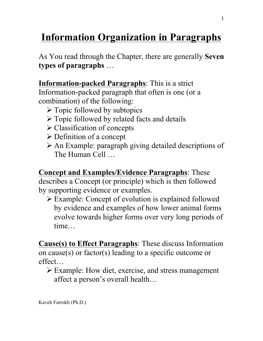## **Information Organization in Paragraphs**

As You read through the Chapter, there are generally **Seven types of paragraphs** …

**Information-packed Paragraphs**: This is a strict Information-packed paragraph that often is one (or a combination) of the following:

- $\triangleright$  Topic followed by subtopics
- $\triangleright$  Topic followed by related facts and details
- $\triangleright$  Classification of concepts
- $\triangleright$  Definition of a concept
- Ø An Example: paragraph giving detailed descriptions of The Human Cell …

**Concept and Examples/Evidence Paragraphs**: These describes a Concept (or principle) which is then followed by supporting evidence or examples.

 $\triangleright$  Example: Concept of evolution is explained followed by evidence and examples of how lower animal forms evolve towards higher forms over very long periods of time

**Cause(s) to Effect Paragraphs**: These discuss Information on cause(s) or factor(s) leading to a specific outcome or effect…

 $\triangleright$  Example: How diet, exercise, and stress management affect a person's overall health…